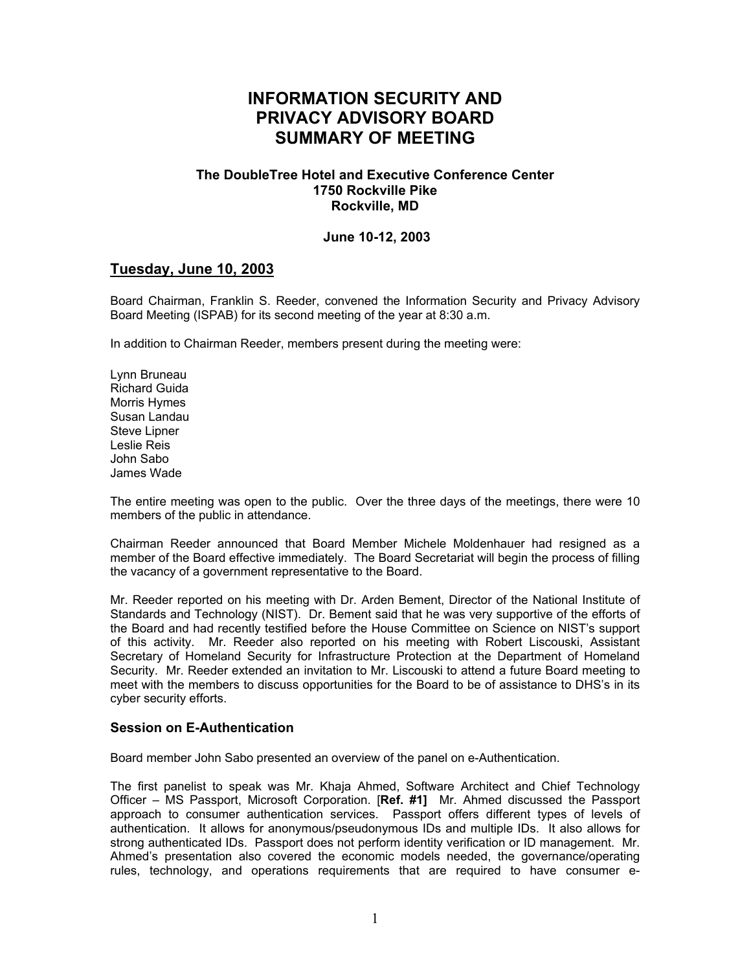# **INFORMATION SECURITY AND PRIVACY ADVISORY BOARD SUMMARY OF MEETING**

#### **The DoubleTree Hotel and Executive Conference Center 1750 Rockville Pike Rockville, MD**

#### **June 10-12, 2003**

## **Tuesday, June 10, 2003**

Board Chairman, Franklin S. Reeder, convened the Information Security and Privacy Advisory Board Meeting (ISPAB) for its second meeting of the year at 8:30 a.m.

In addition to Chairman Reeder, members present during the meeting were:

Lynn Bruneau Richard Guida Morris Hymes Susan Landau Steve Lipner Leslie Reis John Sabo James Wade

The entire meeting was open to the public. Over the three days of the meetings, there were 10 members of the public in attendance.

Chairman Reeder announced that Board Member Michele Moldenhauer had resigned as a member of the Board effective immediately. The Board Secretariat will begin the process of filling the vacancy of a government representative to the Board.

Mr. Reeder reported on his meeting with Dr. Arden Bement, Director of the National Institute of Standards and Technology (NIST). Dr. Bement said that he was very supportive of the efforts of the Board and had recently testified before the House Committee on Science on NIST's support of this activity. Mr. Reeder also reported on his meeting with Robert Liscouski, Assistant Secretary of Homeland Security for Infrastructure Protection at the Department of Homeland Security. Mr. Reeder extended an invitation to Mr. Liscouski to attend a future Board meeting to meet with the members to discuss opportunities for the Board to be of assistance to DHS's in its cyber security efforts.

#### **Session on E-Authentication**

Board member John Sabo presented an overview of the panel on e-Authentication.

The first panelist to speak was Mr. Khaja Ahmed, Software Architect and Chief Technology Officer – MS Passport, Microsoft Corporation. [**Ref. #1]** Mr. Ahmed discussed the Passport approach to consumer authentication services. Passport offers different types of levels of authentication. It allows for anonymous/pseudonymous IDs and multiple IDs. It also allows for strong authenticated IDs. Passport does not perform identity verification or ID management. Mr. Ahmed's presentation also covered the economic models needed, the governance/operating rules, technology, and operations requirements that are required to have consumer e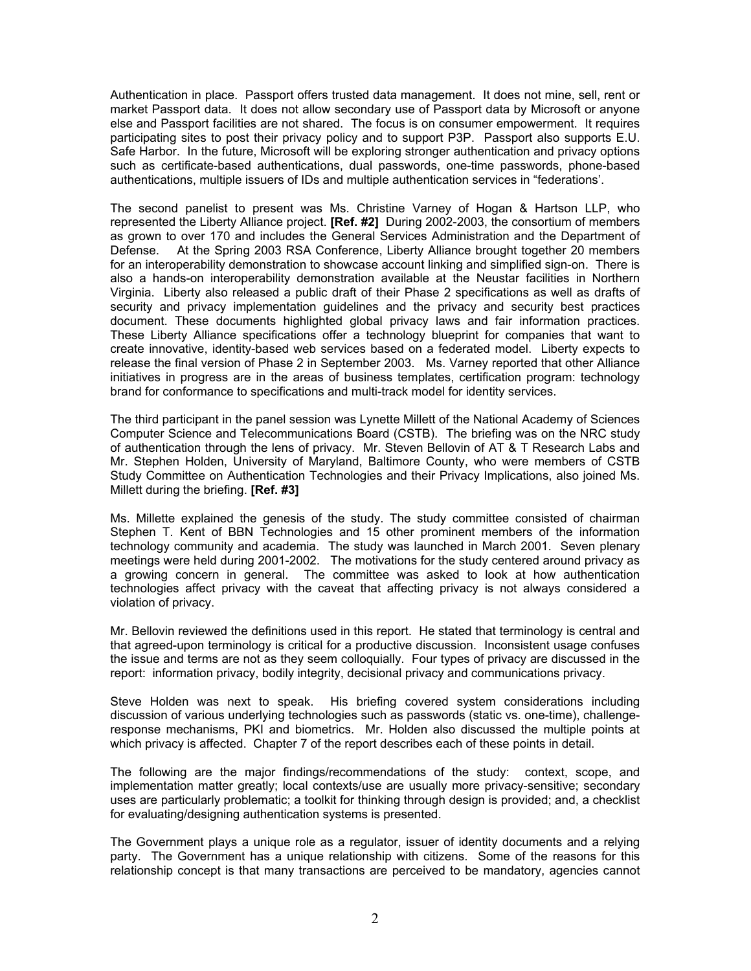Authentication in place. Passport offers trusted data management. It does not mine, sell, rent or market Passport data. It does not allow secondary use of Passport data by Microsoft or anyone else and Passport facilities are not shared. The focus is on consumer empowerment. It requires participating sites to post their privacy policy and to support P3P. Passport also supports E.U. Safe Harbor. In the future, Microsoft will be exploring stronger authentication and privacy options such as certificate-based authentications, dual passwords, one-time passwords, phone-based authentications, multiple issuers of IDs and multiple authentication services in "federations'.

The second panelist to present was Ms. Christine Varney of Hogan & Hartson LLP, who represented the Liberty Alliance project. **[Ref. #2]** During 2002-2003, the consortium of members as grown to over 170 and includes the General Services Administration and the Department of Defense. At the Spring 2003 RSA Conference, Liberty Alliance brought together 20 members for an interoperability demonstration to showcase account linking and simplified sign-on. There is also a hands-on interoperability demonstration available at the Neustar facilities in Northern Virginia. Liberty also released a public draft of their Phase 2 specifications as well as drafts of security and privacy implementation guidelines and the privacy and security best practices document. These documents highlighted global privacy laws and fair information practices. These Liberty Alliance specifications offer a technology blueprint for companies that want to create innovative, identity-based web services based on a federated model. Liberty expects to release the final version of Phase 2 in September 2003. Ms. Varney reported that other Alliance initiatives in progress are in the areas of business templates, certification program: technology brand for conformance to specifications and multi-track model for identity services.

The third participant in the panel session was Lynette Millett of the National Academy of Sciences Computer Science and Telecommunications Board (CSTB). The briefing was on the NRC study of authentication through the lens of privacy. Mr. Steven Bellovin of AT & T Research Labs and Mr. Stephen Holden, University of Maryland, Baltimore County, who were members of CSTB Study Committee on Authentication Technologies and their Privacy Implications, also joined Ms. Millett during the briefing. **[Ref. #3]**

Ms. Millette explained the genesis of the study. The study committee consisted of chairman Stephen T. Kent of BBN Technologies and 15 other prominent members of the information technology community and academia. The study was launched in March 2001. Seven plenary meetings were held during 2001-2002. The motivations for the study centered around privacy as a growing concern in general. The committee was asked to look at how authentication technologies affect privacy with the caveat that affecting privacy is not always considered a violation of privacy.

Mr. Bellovin reviewed the definitions used in this report. He stated that terminology is central and that agreed-upon terminology is critical for a productive discussion. Inconsistent usage confuses the issue and terms are not as they seem colloquially. Four types of privacy are discussed in the report: information privacy, bodily integrity, decisional privacy and communications privacy.

Steve Holden was next to speak. His briefing covered system considerations including discussion of various underlying technologies such as passwords (static vs. one-time), challengeresponse mechanisms, PKI and biometrics. Mr. Holden also discussed the multiple points at which privacy is affected. Chapter 7 of the report describes each of these points in detail.

The following are the major findings/recommendations of the study: context, scope, and implementation matter greatly; local contexts/use are usually more privacy-sensitive; secondary uses are particularly problematic; a toolkit for thinking through design is provided; and, a checklist for evaluating/designing authentication systems is presented.

The Government plays a unique role as a regulator, issuer of identity documents and a relying party. The Government has a unique relationship with citizens. Some of the reasons for this relationship concept is that many transactions are perceived to be mandatory, agencies cannot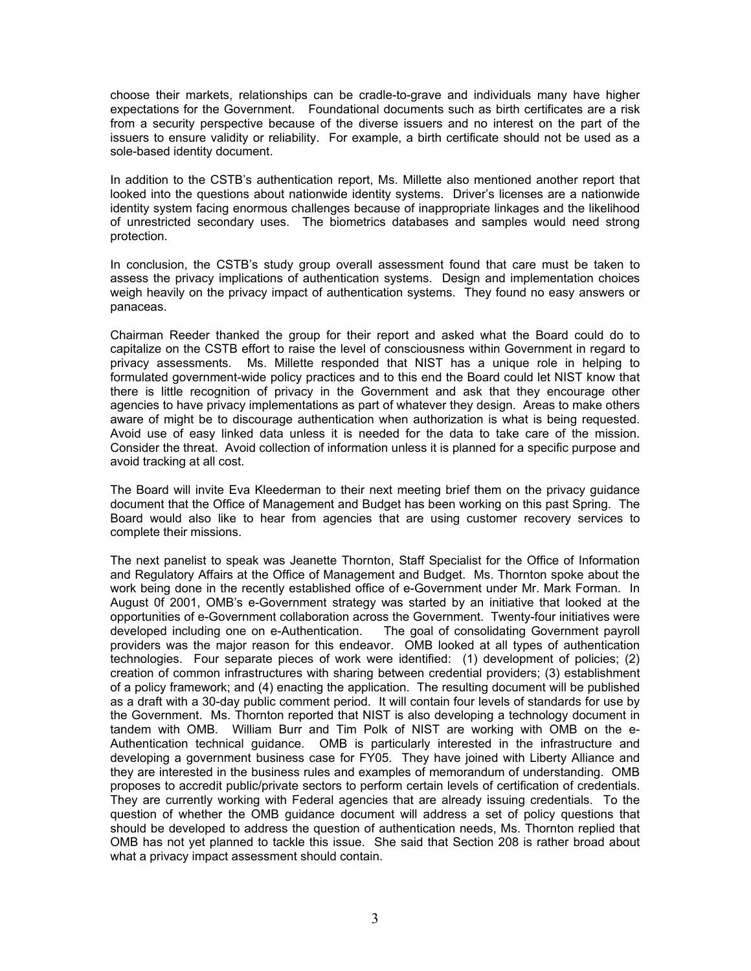choose their markets, relationships can be cradle-to-grave and individuals many have higher expectations for the Government. Foundational documents such as birth certificates are a risk from a security perspective because of the diverse issuers and no interest on the part of the issuers to ensure validity or reliability. For example, a birth certificate should not be used as a sole-based identity document.

In addition to the CSTB's authentication report, Ms. Millette also mentioned another report that looked into the questions about nationwide identity systems. Driver's licenses are a nationwide identity system facing enormous challenges because of inappropriate linkages and the likelihood of unrestricted secondary uses. The biometrics databases and samples would need strong protection.

In conclusion, the CSTB's study group overall assessment found that care must be taken to assess the privacy implications of authentication systems. Design and implementation choices weigh heavily on the privacy impact of authentication systems. They found no easy answers or panaceas.

Chairman Reeder thanked the group for their report and asked what the Board could do to capitalize on the CSTB effort to raise the level of consciousness within Government in regard to privacy assessments. Ms. Millette responded that NIST has a unique role in helping to formulated government-wide policy practices and to this end the Board could let NIST know that there is little recognition of privacy in the Government and ask that they encourage other agencies to have privacy implementations as part of whatever they design. Areas to make others aware of might be to discourage authentication when authorization is what is being requested. Avoid use of easy linked data unless it is needed for the data to take care of the mission. Consider the threat. Avoid collection of information unless it is planned for a specific purpose and avoid tracking at all cost.

The Board will invite Eva Kleederman to their next meeting brief them on the privacy guidance document that the Office of Management and Budget has been working on this past Spring. The Board would also like to hear from agencies that are using customer recovery services to complete their missions.

The next panelist to speak was Jeanette Thornton, Staff Specialist for the Office of Information and Regulatory Affairs at the Office of Management and Budget. Ms. Thornton spoke about the work being done in the recently established office of e-Government under Mr. Mark Forman. In August 0f 2001, OMB's e-Government strategy was started by an initiative that looked at the opportunities of e-Government collaboration across the Government. Twenty-four initiatives were developed including one on e-Authentication. The goal of consolidating Government payroll providers was the major reason for this endeavor. OMB looked at all types of authentication technologies. Four separate pieces of work were identified: (1) development of policies; (2) creation of common infrastructures with sharing between credential providers; (3) establishment of a policy framework; and (4) enacting the application. The resulting document will be published as a draft with a 30-day public comment period. It will contain four levels of standards for use by the Government. Ms. Thornton reported that NIST is also developing a technology document in tandem with OMB. William Burr and Tim Polk of NIST are working with OMB on the e-Authentication technical guidance. OMB is particularly interested in the infrastructure and developing a government business case for FY05. They have joined with Liberty Alliance and they are interested in the business rules and examples of memorandum of understanding. OMB proposes to accredit public/private sectors to perform certain levels of certification of credentials. They are currently working with Federal agencies that are already issuing credentials. To the question of whether the OMB guidance document will address a set of policy questions that should be developed to address the question of authentication needs, Ms. Thornton replied that OMB has not yet planned to tackle this issue. She said that Section 208 is rather broad about what a privacy impact assessment should contain.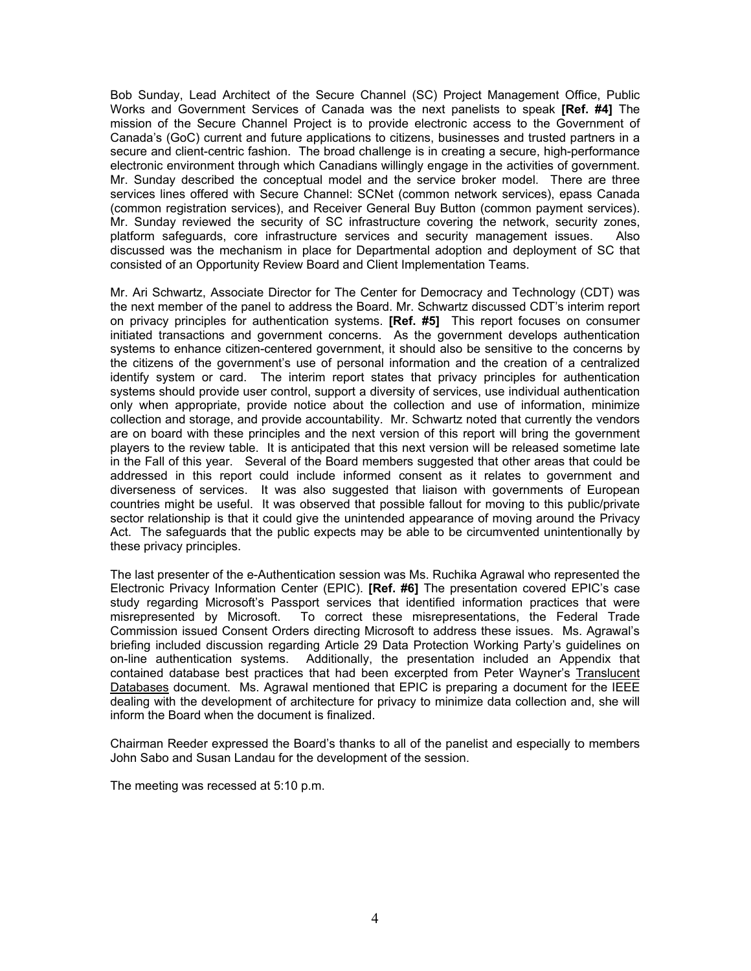Bob Sunday, Lead Architect of the Secure Channel (SC) Project Management Office, Public Works and Government Services of Canada was the next panelists to speak **[Ref. #4]** The mission of the Secure Channel Project is to provide electronic access to the Government of Canada's (GoC) current and future applications to citizens, businesses and trusted partners in a secure and client-centric fashion. The broad challenge is in creating a secure, high-performance electronic environment through which Canadians willingly engage in the activities of government. Mr. Sunday described the conceptual model and the service broker model. There are three services lines offered with Secure Channel: SCNet (common network services), epass Canada (common registration services), and Receiver General Buy Button (common payment services). Mr. Sunday reviewed the security of SC infrastructure covering the network, security zones, platform safeguards, core infrastructure services and security management issues. Also discussed was the mechanism in place for Departmental adoption and deployment of SC that consisted of an Opportunity Review Board and Client Implementation Teams.

Mr. Ari Schwartz, Associate Director for The Center for Democracy and Technology (CDT) was the next member of the panel to address the Board. Mr. Schwartz discussed CDT's interim report on privacy principles for authentication systems. **[Ref. #5]** This report focuses on consumer initiated transactions and government concerns. As the government develops authentication systems to enhance citizen-centered government, it should also be sensitive to the concerns by the citizens of the government's use of personal information and the creation of a centralized identify system or card. The interim report states that privacy principles for authentication systems should provide user control, support a diversity of services, use individual authentication only when appropriate, provide notice about the collection and use of information, minimize collection and storage, and provide accountability. Mr. Schwartz noted that currently the vendors are on board with these principles and the next version of this report will bring the government players to the review table. It is anticipated that this next version will be released sometime late in the Fall of this year. Several of the Board members suggested that other areas that could be addressed in this report could include informed consent as it relates to government and diverseness of services. It was also suggested that liaison with governments of European countries might be useful. It was observed that possible fallout for moving to this public/private sector relationship is that it could give the unintended appearance of moving around the Privacy Act. The safeguards that the public expects may be able to be circumvented unintentionally by these privacy principles.

The last presenter of the e-Authentication session was Ms. Ruchika Agrawal who represented the Electronic Privacy Information Center (EPIC). **[Ref. #6]** The presentation covered EPIC's case study regarding Microsoft's Passport services that identified information practices that were misrepresented by Microsoft. To correct these misrepresentations, the Federal Trade Commission issued Consent Orders directing Microsoft to address these issues. Ms. Agrawal's briefing included discussion regarding Article 29 Data Protection Working Party's guidelines on on-line authentication systems. Additionally, the presentation included an Appendix that contained database best practices that had been excerpted from Peter Wayner's Translucent Databases document. Ms. Agrawal mentioned that EPIC is preparing a document for the IEEE dealing with the development of architecture for privacy to minimize data collection and, she will inform the Board when the document is finalized.

Chairman Reeder expressed the Board's thanks to all of the panelist and especially to members John Sabo and Susan Landau for the development of the session.

The meeting was recessed at 5:10 p.m.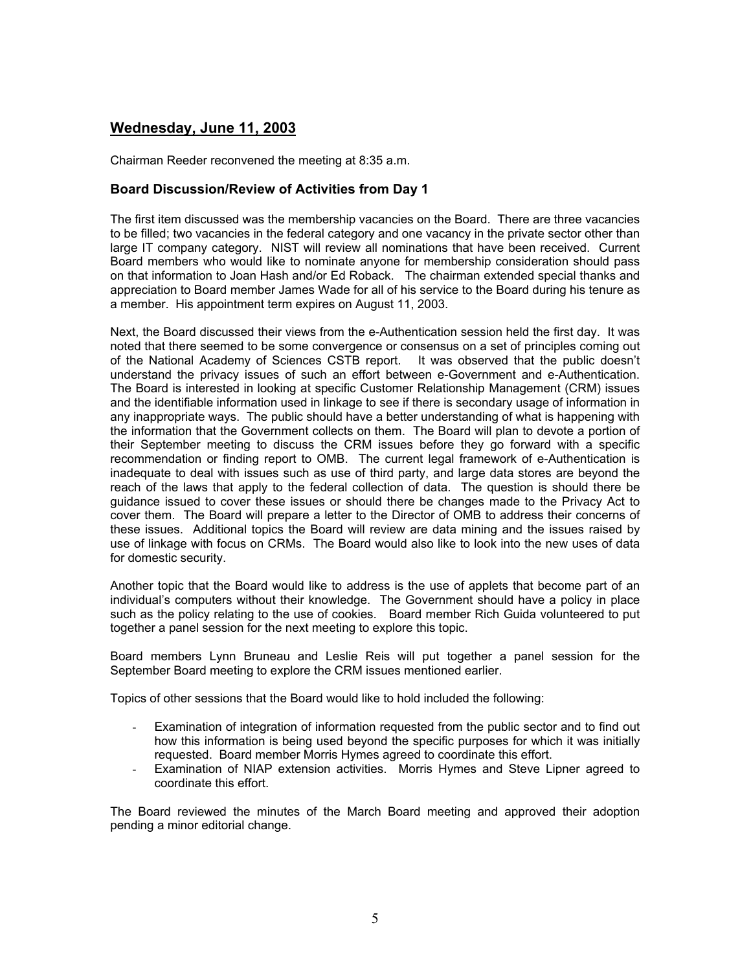## **Wednesday, June 11, 2003**

Chairman Reeder reconvened the meeting at 8:35 a.m.

### **Board Discussion/Review of Activities from Day 1**

The first item discussed was the membership vacancies on the Board. There are three vacancies to be filled; two vacancies in the federal category and one vacancy in the private sector other than large IT company category. NIST will review all nominations that have been received. Current Board members who would like to nominate anyone for membership consideration should pass on that information to Joan Hash and/or Ed Roback. The chairman extended special thanks and appreciation to Board member James Wade for all of his service to the Board during his tenure as a member. His appointment term expires on August 11, 2003.

Next, the Board discussed their views from the e-Authentication session held the first day. It was noted that there seemed to be some convergence or consensus on a set of principles coming out of the National Academy of Sciences CSTB report. It was observed that the public doesn't understand the privacy issues of such an effort between e-Government and e-Authentication. The Board is interested in looking at specific Customer Relationship Management (CRM) issues and the identifiable information used in linkage to see if there is secondary usage of information in any inappropriate ways. The public should have a better understanding of what is happening with the information that the Government collects on them. The Board will plan to devote a portion of their September meeting to discuss the CRM issues before they go forward with a specific recommendation or finding report to OMB. The current legal framework of e-Authentication is inadequate to deal with issues such as use of third party, and large data stores are beyond the reach of the laws that apply to the federal collection of data. The question is should there be guidance issued to cover these issues or should there be changes made to the Privacy Act to cover them. The Board will prepare a letter to the Director of OMB to address their concerns of these issues. Additional topics the Board will review are data mining and the issues raised by use of linkage with focus on CRMs. The Board would also like to look into the new uses of data for domestic security.

Another topic that the Board would like to address is the use of applets that become part of an individual's computers without their knowledge. The Government should have a policy in place such as the policy relating to the use of cookies. Board member Rich Guida volunteered to put together a panel session for the next meeting to explore this topic.

Board members Lynn Bruneau and Leslie Reis will put together a panel session for the September Board meeting to explore the CRM issues mentioned earlier.

Topics of other sessions that the Board would like to hold included the following:

- Examination of integration of information requested from the public sector and to find out how this information is being used beyond the specific purposes for which it was initially requested. Board member Morris Hymes agreed to coordinate this effort.
- Examination of NIAP extension activities. Morris Hymes and Steve Lipner agreed to coordinate this effort.

The Board reviewed the minutes of the March Board meeting and approved their adoption pending a minor editorial change.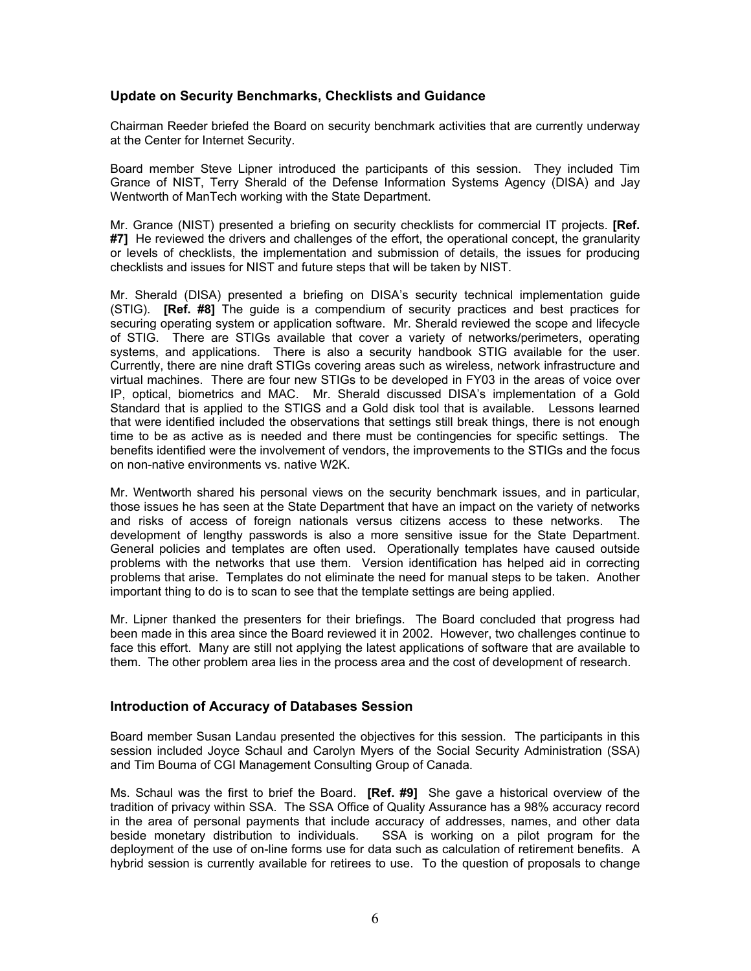#### **Update on Security Benchmarks, Checklists and Guidance**

Chairman Reeder briefed the Board on security benchmark activities that are currently underway at the Center for Internet Security.

Board member Steve Lipner introduced the participants of this session. They included Tim Grance of NIST, Terry Sherald of the Defense Information Systems Agency (DISA) and Jay Wentworth of ManTech working with the State Department.

Mr. Grance (NIST) presented a briefing on security checklists for commercial IT projects. **[Ref. #7]** He reviewed the drivers and challenges of the effort, the operational concept, the granularity or levels of checklists, the implementation and submission of details, the issues for producing checklists and issues for NIST and future steps that will be taken by NIST.

Mr. Sherald (DISA) presented a briefing on DISA's security technical implementation guide (STIG). **[Ref. #8]** The guide is a compendium of security practices and best practices for securing operating system or application software. Mr. Sherald reviewed the scope and lifecycle of STIG. There are STIGs available that cover a variety of networks/perimeters, operating systems, and applications. There is also a security handbook STIG available for the user. Currently, there are nine draft STIGs covering areas such as wireless, network infrastructure and virtual machines. There are four new STIGs to be developed in FY03 in the areas of voice over IP, optical, biometrics and MAC. Mr. Sherald discussed DISA's implementation of a Gold Standard that is applied to the STIGS and a Gold disk tool that is available. Lessons learned that were identified included the observations that settings still break things, there is not enough time to be as active as is needed and there must be contingencies for specific settings. The benefits identified were the involvement of vendors, the improvements to the STIGs and the focus on non-native environments vs. native W2K.

Mr. Wentworth shared his personal views on the security benchmark issues, and in particular, those issues he has seen at the State Department that have an impact on the variety of networks and risks of access of foreign nationals versus citizens access to these networks. The development of lengthy passwords is also a more sensitive issue for the State Department. General policies and templates are often used. Operationally templates have caused outside problems with the networks that use them. Version identification has helped aid in correcting problems that arise. Templates do not eliminate the need for manual steps to be taken. Another important thing to do is to scan to see that the template settings are being applied.

Mr. Lipner thanked the presenters for their briefings. The Board concluded that progress had been made in this area since the Board reviewed it in 2002. However, two challenges continue to face this effort. Many are still not applying the latest applications of software that are available to them. The other problem area lies in the process area and the cost of development of research.

#### **Introduction of Accuracy of Databases Session**

Board member Susan Landau presented the objectives for this session. The participants in this session included Joyce Schaul and Carolyn Myers of the Social Security Administration (SSA) and Tim Bouma of CGI Management Consulting Group of Canada.

Ms. Schaul was the first to brief the Board. **[Ref. #9]** She gave a historical overview of the tradition of privacy within SSA. The SSA Office of Quality Assurance has a 98% accuracy record in the area of personal payments that include accuracy of addresses, names, and other data beside monetary distribution to individuals. SSA is working on a pilot program for the deployment of the use of on-line forms use for data such as calculation of retirement benefits. A hybrid session is currently available for retirees to use. To the question of proposals to change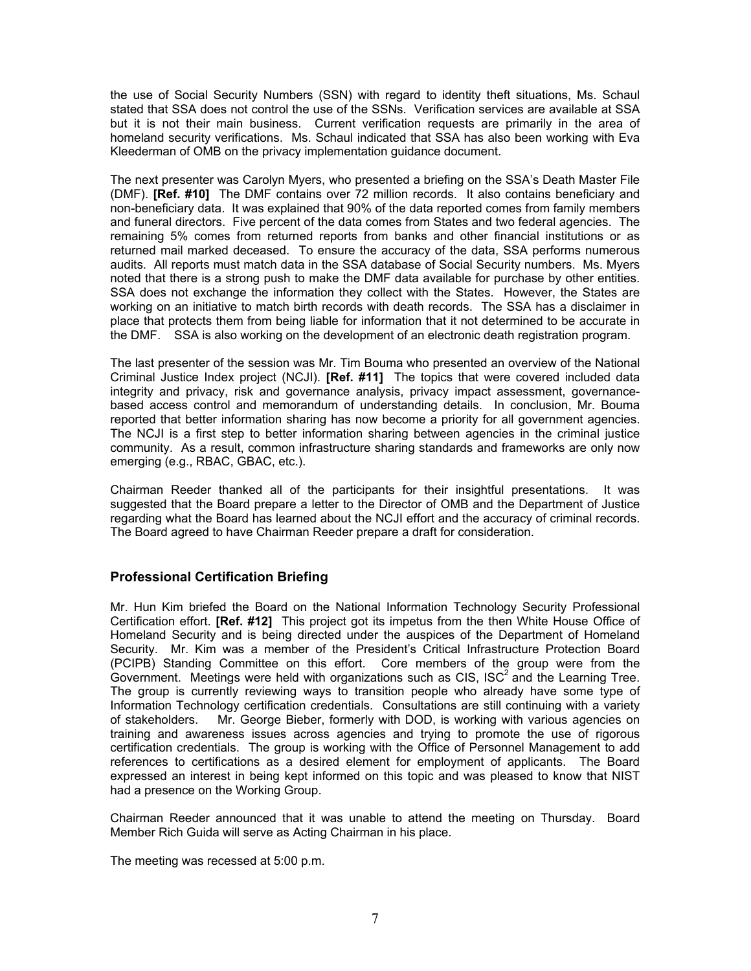the use of Social Security Numbers (SSN) with regard to identity theft situations, Ms. Schaul stated that SSA does not control the use of the SSNs. Verification services are available at SSA but it is not their main business. Current verification requests are primarily in the area of homeland security verifications. Ms. Schaul indicated that SSA has also been working with Eva Kleederman of OMB on the privacy implementation guidance document.

The next presenter was Carolyn Myers, who presented a briefing on the SSA's Death Master File (DMF). **[Ref. #10]** The DMF contains over 72 million records. It also contains beneficiary and non-beneficiary data. It was explained that 90% of the data reported comes from family members and funeral directors. Five percent of the data comes from States and two federal agencies. The remaining 5% comes from returned reports from banks and other financial institutions or as returned mail marked deceased. To ensure the accuracy of the data, SSA performs numerous audits. All reports must match data in the SSA database of Social Security numbers. Ms. Myers noted that there is a strong push to make the DMF data available for purchase by other entities. SSA does not exchange the information they collect with the States. However, the States are working on an initiative to match birth records with death records. The SSA has a disclaimer in place that protects them from being liable for information that it not determined to be accurate in the DMF. SSA is also working on the development of an electronic death registration program.

The last presenter of the session was Mr. Tim Bouma who presented an overview of the National Criminal Justice Index project (NCJI). **[Ref. #11]** The topics that were covered included data integrity and privacy, risk and governance analysis, privacy impact assessment, governancebased access control and memorandum of understanding details. In conclusion, Mr. Bouma reported that better information sharing has now become a priority for all government agencies. The NCJI is a first step to better information sharing between agencies in the criminal justice community. As a result, common infrastructure sharing standards and frameworks are only now emerging (e.g., RBAC, GBAC, etc.).

Chairman Reeder thanked all of the participants for their insightful presentations. It was suggested that the Board prepare a letter to the Director of OMB and the Department of Justice regarding what the Board has learned about the NCJI effort and the accuracy of criminal records. The Board agreed to have Chairman Reeder prepare a draft for consideration.

## **Professional Certification Briefing**

Mr. Hun Kim briefed the Board on the National Information Technology Security Professional Certification effort. **[Ref. #12]** This project got its impetus from the then White House Office of Homeland Security and is being directed under the auspices of the Department of Homeland Security. Mr. Kim was a member of the President's Critical Infrastructure Protection Board (PCIPB) Standing Committee on this effort. Core members of the group were from the Government. Meetings were held with organizations such as CIS, ISC<sup>2</sup> and the Learning Tree. The group is currently reviewing ways to transition people who already have some type of Information Technology certification credentials. Consultations are still continuing with a variety of stakeholders. Mr. George Bieber, formerly with DOD, is working with various agencies on training and awareness issues across agencies and trying to promote the use of rigorous certification credentials. The group is working with the Office of Personnel Management to add references to certifications as a desired element for employment of applicants. The Board expressed an interest in being kept informed on this topic and was pleased to know that NIST had a presence on the Working Group.

Chairman Reeder announced that it was unable to attend the meeting on Thursday. Board Member Rich Guida will serve as Acting Chairman in his place.

The meeting was recessed at 5:00 p.m.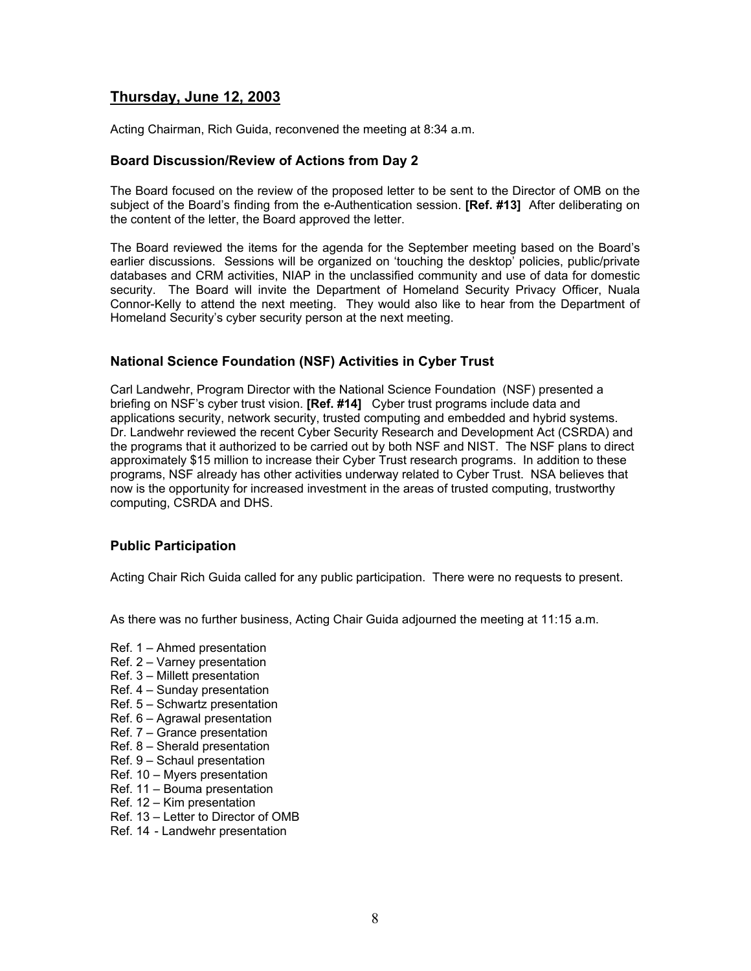## **Thursday, June 12, 2003**

Acting Chairman, Rich Guida, reconvened the meeting at 8:34 a.m.

#### **Board Discussion/Review of Actions from Day 2**

The Board focused on the review of the proposed letter to be sent to the Director of OMB on the subject of the Board's finding from the e-Authentication session. **[Ref. #13]** After deliberating on the content of the letter, the Board approved the letter.

The Board reviewed the items for the agenda for the September meeting based on the Board's earlier discussions. Sessions will be organized on 'touching the desktop' policies, public/private databases and CRM activities, NIAP in the unclassified community and use of data for domestic security. The Board will invite the Department of Homeland Security Privacy Officer, Nuala Connor-Kelly to attend the next meeting. They would also like to hear from the Department of Homeland Security's cyber security person at the next meeting.

### **National Science Foundation (NSF) Activities in Cyber Trust**

Carl Landwehr, Program Director with the National Science Foundation (NSF) presented a briefing on NSF's cyber trust vision. **[Ref. #14]** Cyber trust programs include data and applications security, network security, trusted computing and embedded and hybrid systems. Dr. Landwehr reviewed the recent Cyber Security Research and Development Act (CSRDA) and the programs that it authorized to be carried out by both NSF and NIST. The NSF plans to direct approximately \$15 million to increase their Cyber Trust research programs. In addition to these programs, NSF already has other activities underway related to Cyber Trust. NSA believes that now is the opportunity for increased investment in the areas of trusted computing, trustworthy computing, CSRDA and DHS.

## **Public Participation**

Acting Chair Rich Guida called for any public participation. There were no requests to present.

As there was no further business, Acting Chair Guida adjourned the meeting at 11:15 a.m.

- Ref. 1 Ahmed presentation
- Ref. 2 Varney presentation
- Ref. 3 Millett presentation
- Ref. 4 Sunday presentation
- Ref. 5 Schwartz presentation
- Ref. 6 Agrawal presentation
- Ref. 7 Grance presentation
- Ref. 8 Sherald presentation
- Ref. 9 Schaul presentation
- Ref. 10 Myers presentation
- Ref. 11 Bouma presentation
- Ref. 12 Kim presentation
- Ref. 13 Letter to Director of OMB
- Ref. 14 Landwehr presentation